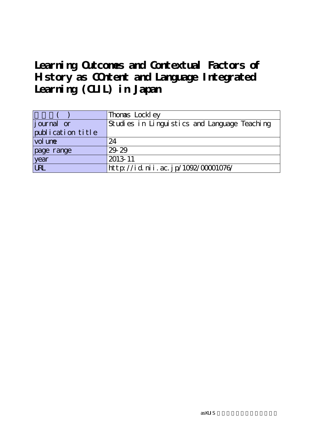## Learning Outcomes and Contextual Factors of **History as COntent and Language Integrated Learning (CLIL) in Japan**

|                    | Thomas Lockley                               |
|--------------------|----------------------------------------------|
| <i>j</i> ournal or | Studies in Linguistics and Language Teaching |
| publication title  |                                              |
| vol une            | 24                                           |
| page range         | 29 29                                        |
| year               | 2013-11                                      |
| URL                | http://id.nii.ac.jp/1092/00001076/           |